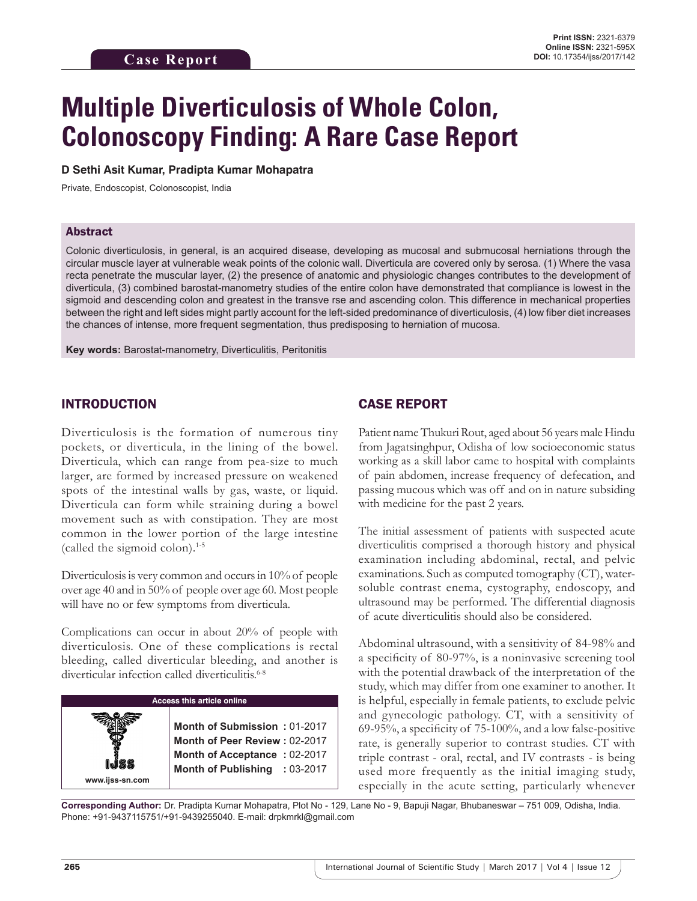# **Multiple Diverticulosis of Whole Colon, Colonoscopy Finding: A Rare Case Report**

### **D Sethi Asit Kumar, Pradipta Kumar Mohapatra**

Private, Endoscopist, Colonoscopist, India

## Abstract

Colonic diverticulosis, in general, is an acquired disease, developing as mucosal and submucosal herniations through the circular muscle layer at vulnerable weak points of the colonic wall. Diverticula are covered only by serosa. (1) Where the vasa recta penetrate the muscular layer, (2) the presence of anatomic and physiologic changes contributes to the development of diverticula, (3) combined barostat-manometry studies of the entire colon have demonstrated that compliance is lowest in the sigmoid and descending colon and greatest in the transve rse and ascending colon. This difference in mechanical properties between the right and left sides might partly account for the left-sided predominance of diverticulosis, (4) low fiber diet increases the chances of intense, more frequent segmentation, thus predisposing to herniation of mucosa.

**Key words:** Barostat-manometry, Diverticulitis, Peritonitis

## INTRODUCTION

Diverticulosis is the formation of numerous tiny pockets, or diverticula, in the lining of the bowel. Diverticula, which can range from pea-size to much larger, are formed by increased pressure on weakened spots of the intestinal walls by gas, waste, or liquid. Diverticula can form while straining during a bowel movement such as with constipation. They are most common in the lower portion of the large intestine (called the sigmoid colon).1-5

Diverticulosis is very common and occurs in 10% of people over age 40 and in 50% of people over age 60. Most people will have no or few symptoms from diverticula.

Complications can occur in about 20% of people with diverticulosis. One of these complications is rectal bleeding, called diverticular bleeding, and another is diverticular infection called diverticulitis.<sup>6-8</sup>

#### **Access this article online**

**Month of Submission :** 01-2017 **Month of Peer Review :** 02-2017 **Month of Acceptance :** 02-2017 **Month of Publishing :** 03-2017

## CASE REPORT

Patient name Thukuri Rout, aged about 56 years male Hindu from Jagatsinghpur, Odisha of low socioeconomic status working as a skill labor came to hospital with complaints of pain abdomen, increase frequency of defecation, and passing mucous which was off and on in nature subsiding with medicine for the past 2 years.

The initial assessment of patients with suspected acute diverticulitis comprised a thorough history and physical examination including abdominal, rectal, and pelvic examinations. Such as computed tomography (CT), watersoluble contrast enema, cystography, endoscopy, and ultrasound may be performed. The differential diagnosis of acute diverticulitis should also be considered.

Abdominal ultrasound, with a sensitivity of 84-98% and a specificity of 80-97%, is a noninvasive screening tool with the potential drawback of the interpretation of the study, which may differ from one examiner to another. It is helpful, especially in female patients, to exclude pelvic and gynecologic pathology. CT, with a sensitivity of 69-95%, a specificity of 75-100%, and a low false-positive rate, is generally superior to contrast studies. CT with triple contrast - oral, rectal, and IV contrasts - is being used more frequently as the initial imaging study, especially in the acute setting, particularly whenever

**Corresponding Author:** Dr. Pradipta Kumar Mohapatra, Plot No - 129, Lane No - 9, Bapuji Nagar, Bhubaneswar – 751 009, Odisha, India. Phone: +91-9437115751/+91-9439255040. E-mail: drpkmrkl@gmail.com

**www.ijss-sn.com**